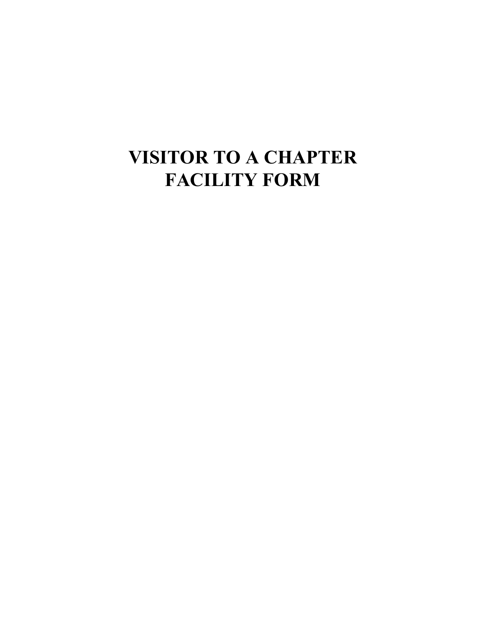## **VISITOR TO A CHAPTER FACILITY FORM**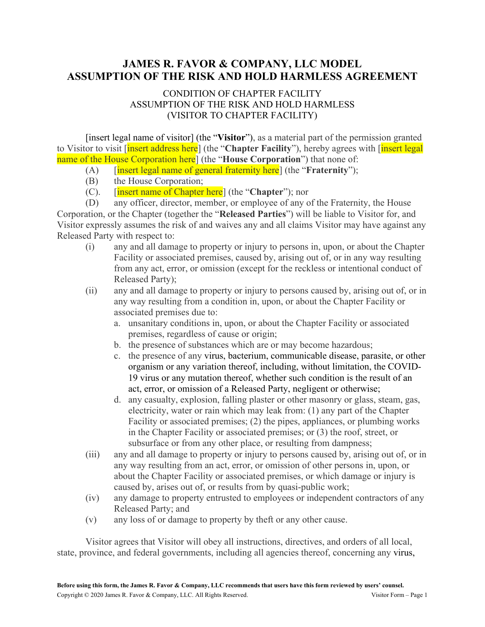## **JAMES R. FAVOR & COMPANY, LLC MODEL ASSUMPTION OF THE RISK AND HOLD HARMLESS AGREEMENT**

## CONDITION OF CHAPTER FACILITY ASSUMPTION OF THE RISK AND HOLD HARMLESS (VISITOR TO CHAPTER FACILITY)

[insert legal name of visitor] (the "**Visitor**"), as a material part of the permission granted to Visitor to visit [insert address here] (the "**Chapter Facility**"), hereby agrees with [insert legal name of the House Corporation here] (the "**House Corporation**") that none of:

- (A) [insert legal name of general fraternity here] (the "**Fraternity**");
- (B) the House Corporation;
- (C). [insert name of Chapter here] (the "**Chapter**"); nor

(D) any officer, director, member, or employee of any of the Fraternity, the House Corporation, or the Chapter (together the "**Released Parties**") will be liable to Visitor for, and Visitor expressly assumes the risk of and waives any and all claims Visitor may have against any Released Party with respect to:

- (i) any and all damage to property or injury to persons in, upon, or about the Chapter Facility or associated premises, caused by, arising out of, or in any way resulting from any act, error, or omission (except for the reckless or intentional conduct of Released Party);
- (ii) any and all damage to property or injury to persons caused by, arising out of, or in any way resulting from a condition in, upon, or about the Chapter Facility or associated premises due to:
	- a. unsanitary conditions in, upon, or about the Chapter Facility or associated premises, regardless of cause or origin;
	- b. the presence of substances which are or may become hazardous;
	- c. the presence of any virus, bacterium, communicable disease, parasite, or other organism or any variation thereof, including, without limitation, the COVID-19 virus or any mutation thereof, whether such condition is the result of an act, error, or omission of a Released Party, negligent or otherwise;
	- d. any casualty, explosion, falling plaster or other masonry or glass, steam, gas, electricity, water or rain which may leak from: (1) any part of the Chapter Facility or associated premises; (2) the pipes, appliances, or plumbing works in the Chapter Facility or associated premises; or (3) the roof, street, or subsurface or from any other place, or resulting from dampness;
- (iii) any and all damage to property or injury to persons caused by, arising out of, or in any way resulting from an act, error, or omission of other persons in, upon, or about the Chapter Facility or associated premises, or which damage or injury is caused by, arises out of, or results from by quasi-public work;
- (iv) any damage to property entrusted to employees or independent contractors of any Released Party; and
- (v) any loss of or damage to property by theft or any other cause.

Visitor agrees that Visitor will obey all instructions, directives, and orders of all local, state, province, and federal governments, including all agencies thereof, concerning any virus,